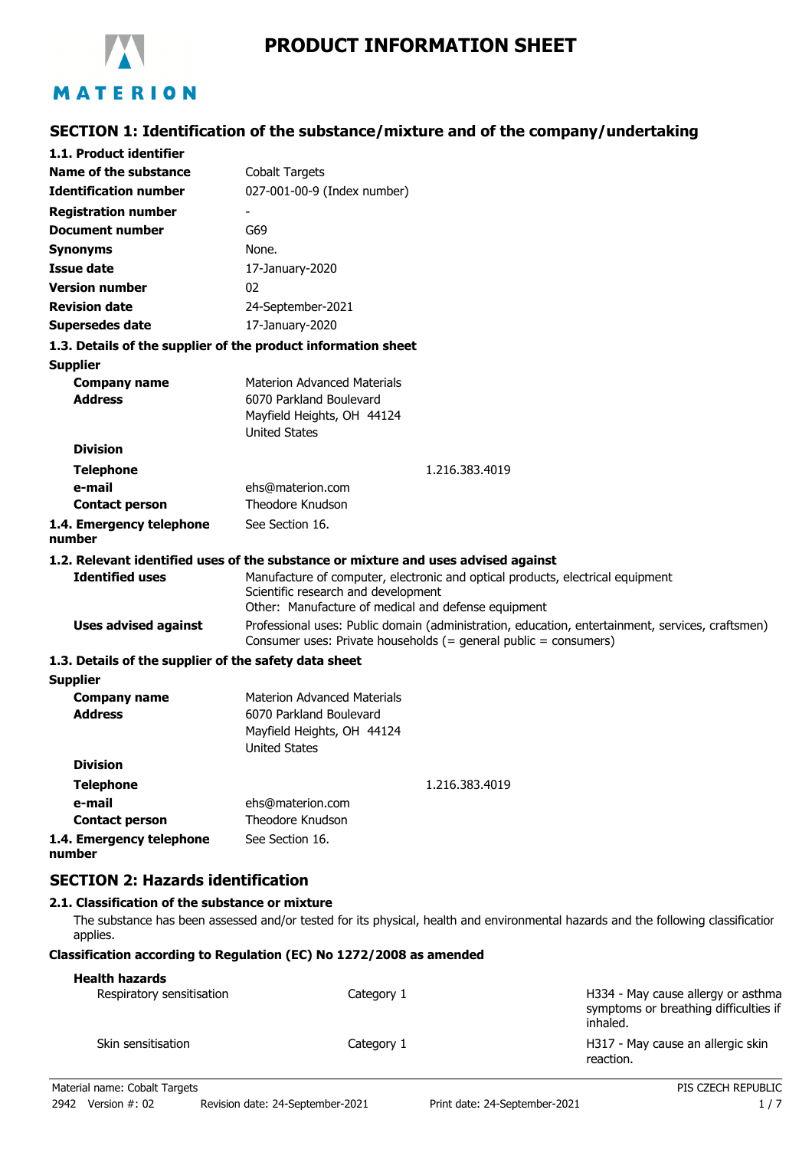

# **SECTION 1: Identification of the substance/mixture and of the company/undertaking**

| 1.1. Product identifier                                       |                                                                                                                                                                              |
|---------------------------------------------------------------|------------------------------------------------------------------------------------------------------------------------------------------------------------------------------|
| Name of the substance                                         | <b>Cobalt Targets</b>                                                                                                                                                        |
| <b>Identification number</b>                                  | 027-001-00-9 (Index number)                                                                                                                                                  |
| <b>Registration number</b>                                    |                                                                                                                                                                              |
| <b>Document number</b>                                        | G69                                                                                                                                                                          |
| <b>Synonyms</b>                                               | None.                                                                                                                                                                        |
| <b>Issue date</b>                                             | 17-January-2020                                                                                                                                                              |
| <b>Version number</b>                                         | 02                                                                                                                                                                           |
| <b>Revision date</b>                                          | 24-September-2021                                                                                                                                                            |
| <b>Supersedes date</b>                                        | 17-January-2020                                                                                                                                                              |
| 1.3. Details of the supplier of the product information sheet |                                                                                                                                                                              |
| <b>Supplier</b>                                               |                                                                                                                                                                              |
| <b>Company name</b>                                           | <b>Materion Advanced Materials</b>                                                                                                                                           |
| <b>Address</b>                                                | 6070 Parkland Boulevard                                                                                                                                                      |
|                                                               | Mayfield Heights, OH 44124                                                                                                                                                   |
|                                                               | <b>United States</b>                                                                                                                                                         |
| <b>Division</b>                                               |                                                                                                                                                                              |
| <b>Telephone</b>                                              | 1.216.383.4019                                                                                                                                                               |
| e-mail                                                        | ehs@materion.com<br>Theodore Knudson                                                                                                                                         |
| <b>Contact person</b>                                         |                                                                                                                                                                              |
| 1.4. Emergency telephone<br>number                            | See Section 16.                                                                                                                                                              |
|                                                               | 1.2. Relevant identified uses of the substance or mixture and uses advised against                                                                                           |
| <b>Identified uses</b>                                        | Manufacture of computer, electronic and optical products, electrical equipment<br>Scientific research and development<br>Other: Manufacture of medical and defense equipment |
| <b>Uses advised against</b>                                   | Professional uses: Public domain (administration, education, entertainment, services, craftsmen)<br>Consumer uses: Private households (= general public = consumers)         |
| 1.3. Details of the supplier of the safety data sheet         |                                                                                                                                                                              |
| <b>Supplier</b>                                               |                                                                                                                                                                              |
| <b>Company name</b>                                           | <b>Materion Advanced Materials</b>                                                                                                                                           |
| <b>Address</b>                                                | 6070 Parkland Boulevard                                                                                                                                                      |
|                                                               | Mayfield Heights, OH 44124                                                                                                                                                   |
| <b>Division</b>                                               | <b>United States</b>                                                                                                                                                         |
|                                                               |                                                                                                                                                                              |
| <b>Telephone</b><br>e-mail                                    | 1.216.383.4019<br>ehs@materion.com                                                                                                                                           |
| <b>Contact person</b>                                         | Theodore Knudson                                                                                                                                                             |
| 1.4. Emergency telephone                                      | See Section 16.                                                                                                                                                              |
| number                                                        |                                                                                                                                                                              |

## **SECTION 2: Hazards identification**

#### **2.1. Classification of the substance or mixture**

The substance has been assessed and/or tested for its physical, health and environmental hazards and the following classification applies.

#### **Classification according to Regulation (EC) No 1272/2008 as amended**

#### **Health hazards**

| caith nazarus<br>Respiratory sensitisation | Category 1 | H334 - May cause allergy or asthma<br>symptoms or breathing difficulties if<br>inhaled. |
|--------------------------------------------|------------|-----------------------------------------------------------------------------------------|
| Skin sensitisation                         | Category 1 | H317 - May cause an allergic skin<br>reaction.                                          |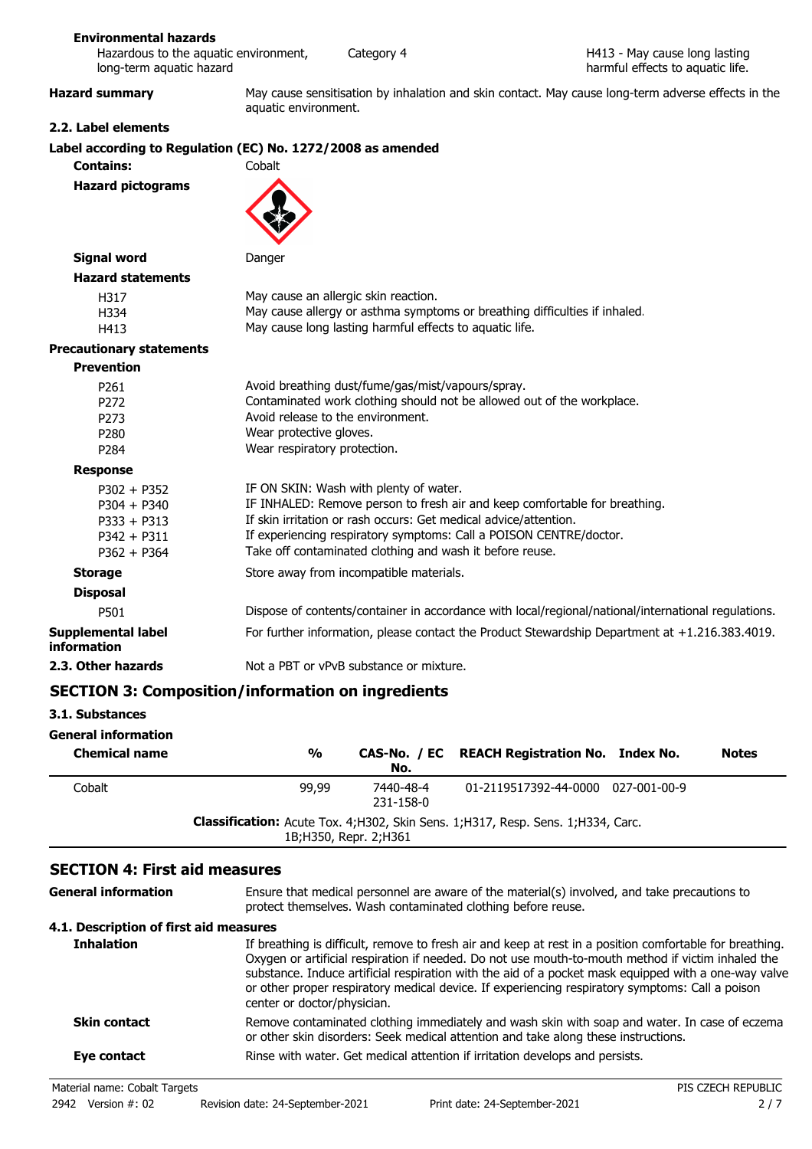#### **Environmental hazards**

| Hazardous to the aquatic environment, | Ca |
|---------------------------------------|----|
| long-term aquatic hazard              |    |

tegory 4

**Hazard summary** May cause sensitisation by inhalation and skin contact. May cause long-term adverse effects in the aquatic environment.

#### **2.2. Label elements**

# **Label according to Regulation (EC) No. 1272/2008 as amended**

|                                                                                   | Label according to Regulation (EC) No. 1272/2008 as amended                                                                                                                                                                                                                                                                |
|-----------------------------------------------------------------------------------|----------------------------------------------------------------------------------------------------------------------------------------------------------------------------------------------------------------------------------------------------------------------------------------------------------------------------|
| <b>Contains:</b>                                                                  | Cobalt                                                                                                                                                                                                                                                                                                                     |
| <b>Hazard pictograms</b>                                                          |                                                                                                                                                                                                                                                                                                                            |
| <b>Signal word</b>                                                                | Danger                                                                                                                                                                                                                                                                                                                     |
| <b>Hazard statements</b>                                                          |                                                                                                                                                                                                                                                                                                                            |
| H317<br>H334<br>H413                                                              | May cause an allergic skin reaction.<br>May cause allergy or asthma symptoms or breathing difficulties if inhaled.<br>May cause long lasting harmful effects to aquatic life.                                                                                                                                              |
| <b>Precautionary statements</b>                                                   |                                                                                                                                                                                                                                                                                                                            |
| <b>Prevention</b>                                                                 |                                                                                                                                                                                                                                                                                                                            |
| P <sub>261</sub><br>P <sub>272</sub><br>P273<br>P <sub>280</sub><br>P284          | Avoid breathing dust/fume/gas/mist/vapours/spray.<br>Contaminated work clothing should not be allowed out of the workplace.<br>Avoid release to the environment.<br>Wear protective gloves.<br>Wear respiratory protection.                                                                                                |
| <b>Response</b>                                                                   |                                                                                                                                                                                                                                                                                                                            |
| $P302 + P352$<br>$P304 + P340$<br>$P333 + P313$<br>$P342 + P311$<br>$P362 + P364$ | IF ON SKIN: Wash with plenty of water.<br>IF INHALED: Remove person to fresh air and keep comfortable for breathing.<br>If skin irritation or rash occurs: Get medical advice/attention.<br>If experiencing respiratory symptoms: Call a POISON CENTRE/doctor.<br>Take off contaminated clothing and wash it before reuse. |
| <b>Storage</b>                                                                    | Store away from incompatible materials.                                                                                                                                                                                                                                                                                    |
| <b>Disposal</b>                                                                   |                                                                                                                                                                                                                                                                                                                            |
| P501                                                                              | Dispose of contents/container in accordance with local/regional/national/international regulations.                                                                                                                                                                                                                        |
| <b>Supplemental label</b><br>information                                          | For further information, please contact the Product Stewardship Department at +1.216.383.4019.                                                                                                                                                                                                                             |
| 2.3. Other hazards                                                                | Not a PBT or yPvB substance or mixture.                                                                                                                                                                                                                                                                                    |

## **SECTION 3: Composition/information on ingredients**

#### **3.1. Substances**

| <b>General information</b><br><b>Chemical name</b> | %     | No.                     | CAS-No. / EC REACH Registration No. Index No.                                      | <b>Notes</b> |
|----------------------------------------------------|-------|-------------------------|------------------------------------------------------------------------------------|--------------|
| Cobalt                                             | 99.99 | 7440-48-4<br>231-158-0  | 01-2119517392-44-0000 027-001-00-9                                                 |              |
|                                                    |       | 1B; H350, Repr. 2; H361 | Classification: Acute Tox. 4; H302, Skin Sens. 1; H317, Resp. Sens. 1; H334, Carc. |              |

## **SECTION 4: First aid measures**

| General information                    | Ensure that medical personnel are aware of the material(s) involved, and take precautions to<br>protect themselves. Wash contaminated clothing before reuse.                                                                                                                                                                                                                                                                                             |
|----------------------------------------|----------------------------------------------------------------------------------------------------------------------------------------------------------------------------------------------------------------------------------------------------------------------------------------------------------------------------------------------------------------------------------------------------------------------------------------------------------|
| 4.1. Description of first aid measures |                                                                                                                                                                                                                                                                                                                                                                                                                                                          |
| <b>Inhalation</b>                      | If breathing is difficult, remove to fresh air and keep at rest in a position comfortable for breathing.<br>Oxygen or artificial respiration if needed. Do not use mouth-to-mouth method if victim inhaled the<br>substance. Induce artificial respiration with the aid of a pocket mask equipped with a one-way valve<br>or other proper respiratory medical device. If experiencing respiratory symptoms: Call a poison<br>center or doctor/physician. |
| <b>Skin contact</b>                    | Remove contaminated clothing immediately and wash skin with soap and water. In case of eczema<br>or other skin disorders: Seek medical attention and take along these instructions.                                                                                                                                                                                                                                                                      |
| Eye contact                            | Rinse with water. Get medical attention if irritation develops and persists.                                                                                                                                                                                                                                                                                                                                                                             |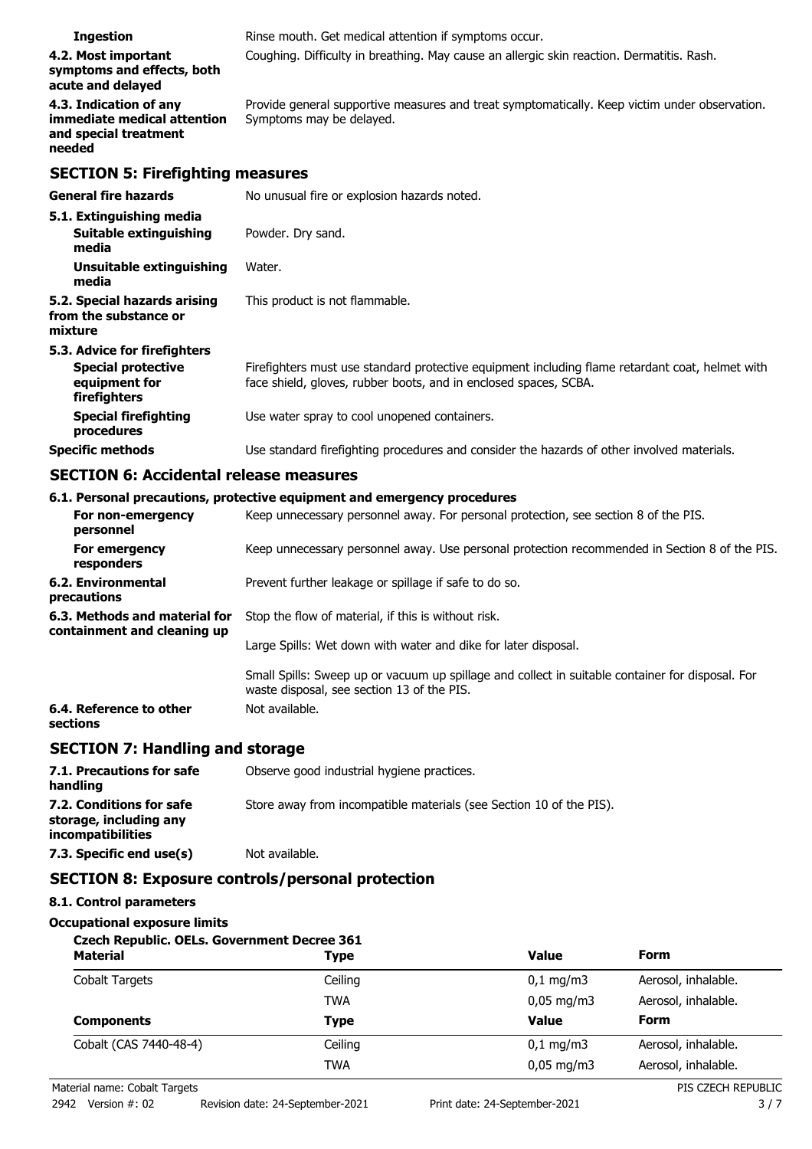| <b>Ingestion</b>                                                                         | Rinse mouth. Get medical attention if symptoms occur.                                                                                                               |  |
|------------------------------------------------------------------------------------------|---------------------------------------------------------------------------------------------------------------------------------------------------------------------|--|
| 4.2. Most important<br>symptoms and effects, both<br>acute and delayed                   | Coughing. Difficulty in breathing. May cause an allergic skin reaction. Dermatitis. Rash.                                                                           |  |
| 4.3. Indication of any<br>immediate medical attention<br>and special treatment<br>needed | Provide general supportive measures and treat symptomatically. Keep victim under observation.<br>Symptoms may be delayed.                                           |  |
| <b>SECTION 5: Firefighting measures</b>                                                  |                                                                                                                                                                     |  |
| <b>General fire hazards</b>                                                              | No unusual fire or explosion hazards noted.                                                                                                                         |  |
| 5.1. Extinguishing media<br>Suitable extinguishing<br>media                              | Powder. Dry sand.                                                                                                                                                   |  |
| Unsuitable extinguishing<br>media                                                        | Water.                                                                                                                                                              |  |
| 5.2. Special hazards arising<br>from the substance or<br>mixture                         | This product is not flammable.                                                                                                                                      |  |
| 5.3. Advice for firefighters                                                             |                                                                                                                                                                     |  |
| <b>Special protective</b><br>equipment for<br>firefighters                               | Firefighters must use standard protective equipment including flame retardant coat, helmet with<br>face shield, gloves, rubber boots, and in enclosed spaces, SCBA. |  |
| <b>Special firefighting</b><br>procedures                                                | Use water spray to cool unopened containers.                                                                                                                        |  |
| <b>Specific methods</b>                                                                  | Use standard firefighting procedures and consider the hazards of other involved materials.                                                                          |  |

## **SECTION 6: Accidental release measures**

|                                                              | 6.1. Personal precautions, protective equipment and emergency procedures                                                                       |
|--------------------------------------------------------------|------------------------------------------------------------------------------------------------------------------------------------------------|
| For non-emergency<br>personnel                               | Keep unnecessary personnel away. For personal protection, see section 8 of the PIS.                                                            |
| For emergency<br>responders                                  | Keep unnecessary personnel away. Use personal protection recommended in Section 8 of the PIS.                                                  |
| 6.2. Environmental<br>precautions                            | Prevent further leakage or spillage if safe to do so.                                                                                          |
| 6.3. Methods and material for<br>containment and cleaning up | Stop the flow of material, if this is without risk.                                                                                            |
|                                                              | Large Spills: Wet down with water and dike for later disposal.                                                                                 |
|                                                              | Small Spills: Sweep up or vacuum up spillage and collect in suitable container for disposal. For<br>waste disposal, see section 13 of the PIS. |
| 6.4. Reference to other<br>sections                          | Not available.                                                                                                                                 |
|                                                              |                                                                                                                                                |

#### **SECTION 7: Handling and storage**

| 7.1. Precautions for safe<br>handling                                          | Observe good industrial hygiene practices.                          |
|--------------------------------------------------------------------------------|---------------------------------------------------------------------|
| 7.2. Conditions for safe<br>storage, including any<br><i>incompatibilities</i> | Store away from incompatible materials (see Section 10 of the PIS). |
| 7.3. Specific end use(s)                                                       | Not available.                                                      |

## **SECTION 8: Exposure controls/personal protection**

#### **8.1. Control parameters**

#### **Occupational exposure limits**

| Czech Republic. OELs. Government Decree 361<br><b>Material</b> | Type        | <b>Value</b>             | Form                |
|----------------------------------------------------------------|-------------|--------------------------|---------------------|
| <b>Cobalt Targets</b>                                          | Ceiling     | $0,1 \, \text{mg/m}$     | Aerosol, inhalable. |
|                                                                | <b>TWA</b>  | $0.05 \,\mathrm{mq/m}$ 3 | Aerosol, inhalable. |
| <b>Components</b>                                              | <b>Type</b> | Value                    | Form                |
| Cobalt (CAS 7440-48-4)                                         | Ceiling     | $0,1 \,\mathrm{mg/m}$    | Aerosol, inhalable. |
|                                                                | <b>TWA</b>  | $0,05 \,\mathrm{mg/m}$   | Aerosol, inhalable. |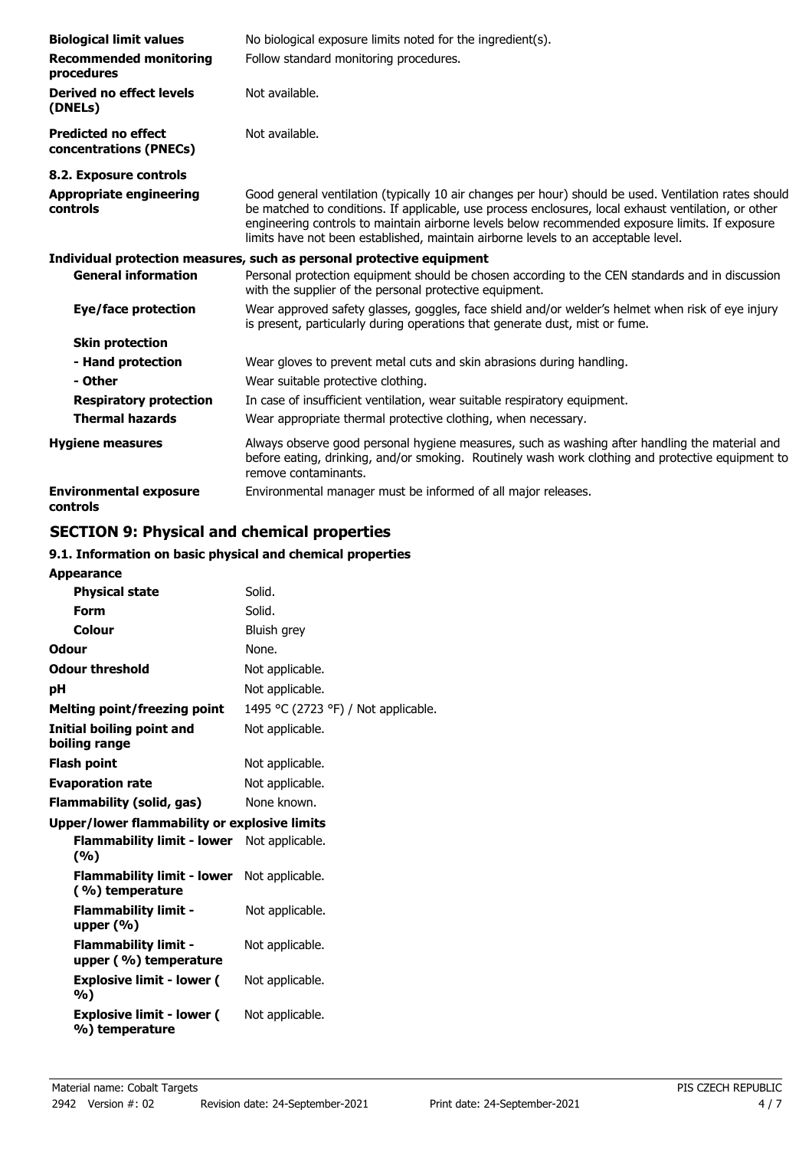| <b>Biological limit values</b>                       | No biological exposure limits noted for the ingredient(s).                                                                                                                                                                                                                                                                                                                                             |
|------------------------------------------------------|--------------------------------------------------------------------------------------------------------------------------------------------------------------------------------------------------------------------------------------------------------------------------------------------------------------------------------------------------------------------------------------------------------|
| <b>Recommended monitoring</b><br>procedures          | Follow standard monitoring procedures.                                                                                                                                                                                                                                                                                                                                                                 |
| Derived no effect levels<br>(DNELs)                  | Not available.                                                                                                                                                                                                                                                                                                                                                                                         |
| <b>Predicted no effect</b><br>concentrations (PNECs) | Not available.                                                                                                                                                                                                                                                                                                                                                                                         |
| 8.2. Exposure controls                               |                                                                                                                                                                                                                                                                                                                                                                                                        |
| <b>Appropriate engineering</b><br>controls           | Good general ventilation (typically 10 air changes per hour) should be used. Ventilation rates should<br>be matched to conditions. If applicable, use process enclosures, local exhaust ventilation, or other<br>engineering controls to maintain airborne levels below recommended exposure limits. If exposure<br>limits have not been established, maintain airborne levels to an acceptable level. |
|                                                      | Individual protection measures, such as personal protective equipment                                                                                                                                                                                                                                                                                                                                  |
| <b>General information</b>                           | Personal protection equipment should be chosen according to the CEN standards and in discussion<br>with the supplier of the personal protective equipment.                                                                                                                                                                                                                                             |
| Eye/face protection                                  | Wear approved safety glasses, goggles, face shield and/or welder's helmet when risk of eye injury<br>is present, particularly during operations that generate dust, mist or fume.                                                                                                                                                                                                                      |
| <b>Skin protection</b>                               |                                                                                                                                                                                                                                                                                                                                                                                                        |
| - Hand protection                                    | Wear gloves to prevent metal cuts and skin abrasions during handling.                                                                                                                                                                                                                                                                                                                                  |
| - Other                                              | Wear suitable protective clothing.                                                                                                                                                                                                                                                                                                                                                                     |
| <b>Respiratory protection</b>                        | In case of insufficient ventilation, wear suitable respiratory equipment.                                                                                                                                                                                                                                                                                                                              |
| <b>Thermal hazards</b>                               | Wear appropriate thermal protective clothing, when necessary.                                                                                                                                                                                                                                                                                                                                          |
| <b>Hygiene measures</b>                              | Always observe good personal hygiene measures, such as washing after handling the material and<br>before eating, drinking, and/or smoking. Routinely wash work clothing and protective equipment to<br>remove contaminants.                                                                                                                                                                            |
| <b>Environmental exposure</b><br>controls            | Environmental manager must be informed of all major releases.                                                                                                                                                                                                                                                                                                                                          |

# **SECTION 9: Physical and chemical properties**

## **9.1. Information on basic physical and chemical properties**

| <b>Appearance</b>                                    |                                     |
|------------------------------------------------------|-------------------------------------|
| <b>Physical state</b>                                | Solid.                              |
| <b>Form</b>                                          | Solid.                              |
| Colour                                               | Bluish grey                         |
| Odour                                                | None.                               |
| <b>Odour threshold</b>                               | Not applicable.                     |
| pH                                                   | Not applicable.                     |
| <b>Melting point/freezing point</b>                  | 1495 °C (2723 °F) / Not applicable. |
| Initial boiling point and<br>boiling range           | Not applicable.                     |
| <b>Flash point</b>                                   | Not applicable.                     |
| <b>Evaporation rate</b>                              | Not applicable.                     |
| Flammability (solid, gas)                            | None known.                         |
| Upper/lower flammability or explosive limits         |                                     |
| <b>Flammability limit - lower</b><br>(%)             | Not applicable.                     |
| <b>Flammability limit - lower</b><br>(%) temperature | Not applicable.                     |
| <b>Flammability limit -</b><br>upper $(% )$          | Not applicable.                     |
| <b>Flammability limit -</b><br>upper (%) temperature | Not applicable.                     |
| <b>Explosive limit - lower (</b><br>%)               | Not applicable.                     |
| <b>Explosive limit - lower (</b><br>%) temperature   | Not applicable.                     |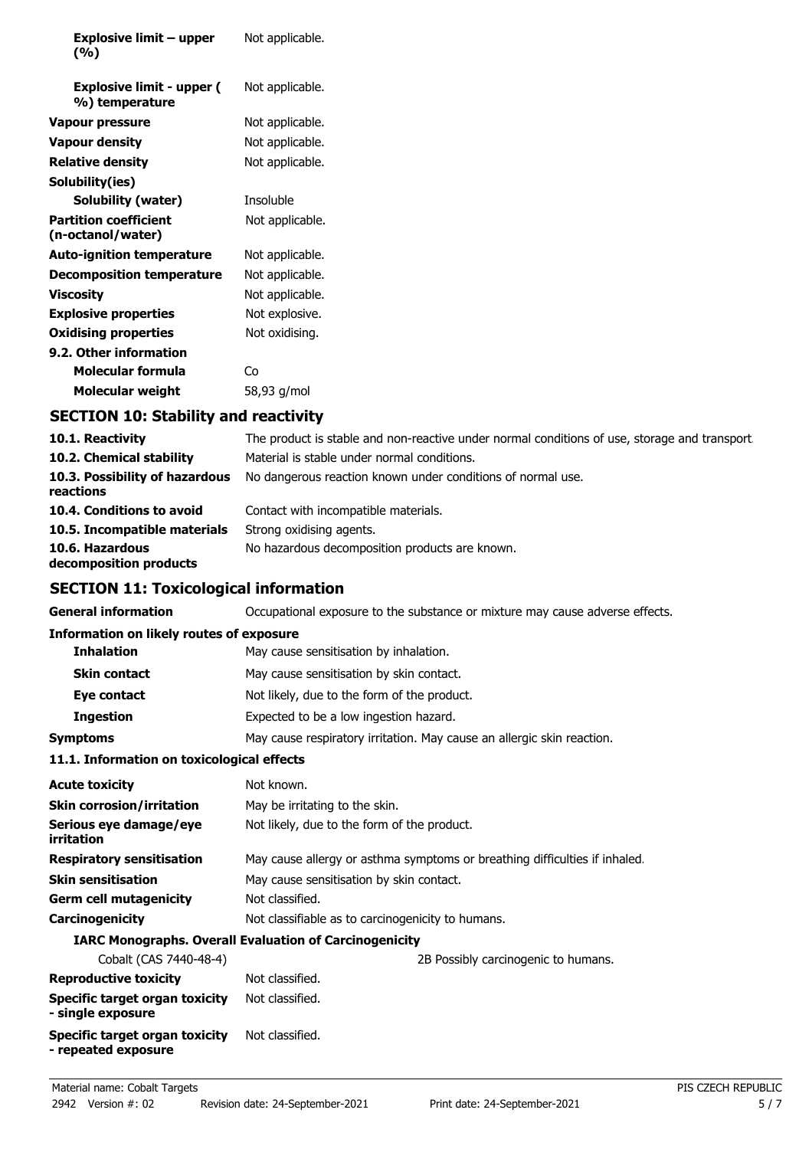| Explosive limit – upper<br>(%)                     | Not applicable. |
|----------------------------------------------------|-----------------|
| <b>Explosive limit - upper (</b><br>%) temperature | Not applicable. |
| Vapour pressure                                    | Not applicable. |
| <b>Vapour density</b>                              | Not applicable. |
| <b>Relative density</b>                            | Not applicable. |
| Solubility(ies)                                    |                 |
| Solubility (water)                                 | Insoluble       |
| <b>Partition coefficient</b><br>(n-octanol/water)  | Not applicable. |
| <b>Auto-ignition temperature</b>                   | Not applicable. |
| <b>Decomposition temperature</b>                   | Not applicable. |
| <b>Viscosity</b>                                   | Not applicable. |
| <b>Explosive properties</b>                        | Not explosive.  |
| <b>Oxidising properties</b>                        | Not oxidising.  |
| 9.2. Other information                             |                 |
| Molecular formula                                  | Co              |
| Molecular weight                                   | 58,93 g/mol     |
|                                                    |                 |

# **SECTION 10: Stability and reactivity**

| 10.1. Reactivity                            | The product is stable and non-reactive under normal conditions of use, storage and transport |
|---------------------------------------------|----------------------------------------------------------------------------------------------|
| 10.2. Chemical stability                    | Material is stable under normal conditions.                                                  |
| 10.3. Possibility of hazardous<br>reactions | No dangerous reaction known under conditions of normal use.                                  |
| 10.4. Conditions to avoid                   | Contact with incompatible materials.                                                         |
| 10.5. Incompatible materials                | Strong oxidising agents.                                                                     |
| 10.6. Hazardous<br>decomposition products   | No hazardous decomposition products are known.                                               |

# **SECTION 11: Toxicological information**

| <b>General information</b>                                   | Occupational exposure to the substance or mixture may cause adverse effects. |  |
|--------------------------------------------------------------|------------------------------------------------------------------------------|--|
| <b>Information on likely routes of exposure</b>              |                                                                              |  |
| <b>Inhalation</b>                                            | May cause sensitisation by inhalation.                                       |  |
| <b>Skin contact</b>                                          | May cause sensitisation by skin contact.                                     |  |
| Eye contact                                                  | Not likely, due to the form of the product.                                  |  |
| <b>Ingestion</b>                                             | Expected to be a low ingestion hazard.                                       |  |
| <b>Symptoms</b>                                              | May cause respiratory irritation. May cause an allergic skin reaction.       |  |
| 11.1. Information on toxicological effects                   |                                                                              |  |
| <b>Acute toxicity</b>                                        | Not known.                                                                   |  |
| <b>Skin corrosion/irritation</b>                             | May be irritating to the skin.                                               |  |
| Serious eye damage/eye<br>irritation                         | Not likely, due to the form of the product.                                  |  |
| <b>Respiratory sensitisation</b>                             | May cause allergy or asthma symptoms or breathing difficulties if inhaled.   |  |
| <b>Skin sensitisation</b>                                    | May cause sensitisation by skin contact.                                     |  |
| <b>Germ cell mutagenicity</b>                                | Not classified.                                                              |  |
| Carcinogenicity                                              | Not classifiable as to carcinogenicity to humans.                            |  |
|                                                              | <b>IARC Monographs. Overall Evaluation of Carcinogenicity</b>                |  |
| Cobalt (CAS 7440-48-4)                                       | 2B Possibly carcinogenic to humans.                                          |  |
| <b>Reproductive toxicity</b>                                 | Not classified.                                                              |  |
| Specific target organ toxicity<br>- single exposure          | Not classified.                                                              |  |
| <b>Specific target organ toxicity</b><br>- repeated exposure | Not classified.                                                              |  |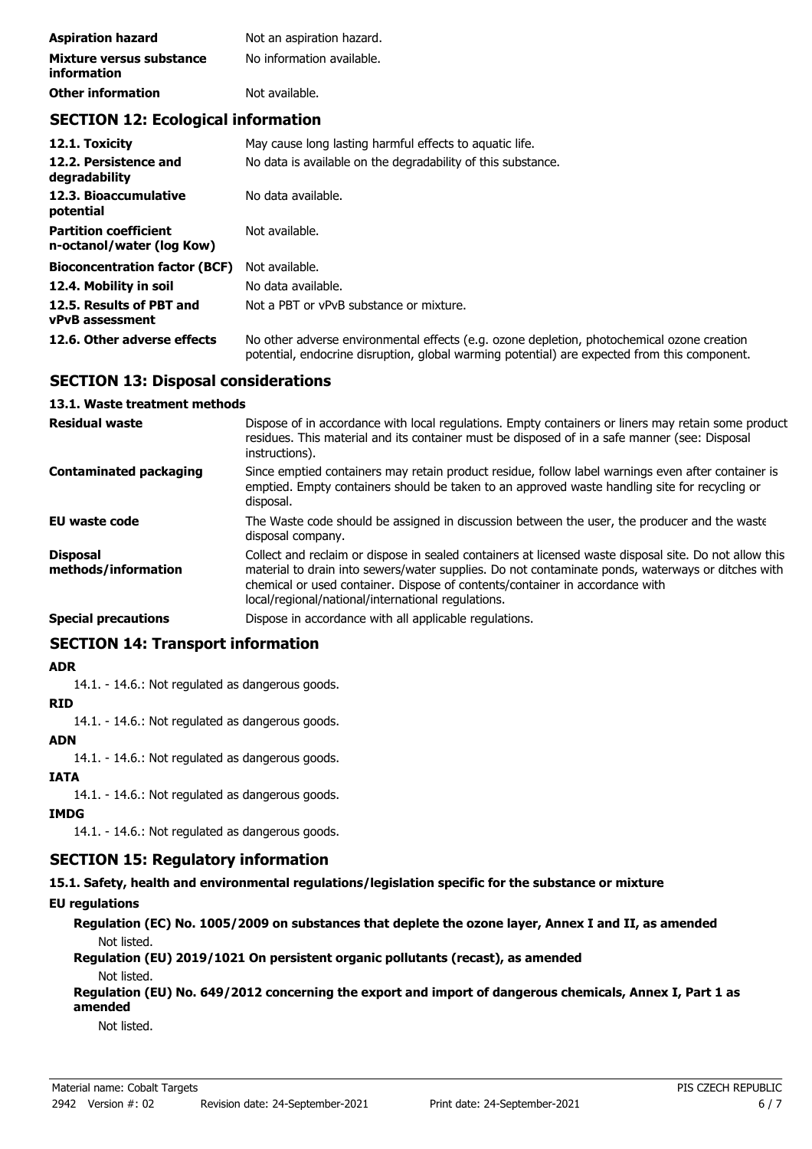| <b>Aspiration hazard</b>                | Not an aspiration hazard. |
|-----------------------------------------|---------------------------|
| Mixture versus substance<br>information | No information available. |
| <b>Other information</b>                | Not available.            |

## **SECTION 12: Ecological information**

| 12.1. Toxicity                                            | May cause long lasting harmful effects to aquatic life.                                                                                                                                    |
|-----------------------------------------------------------|--------------------------------------------------------------------------------------------------------------------------------------------------------------------------------------------|
| 12.2. Persistence and<br>degradability                    | No data is available on the degradability of this substance.                                                                                                                               |
| 12.3. Bioaccumulative<br>potential                        | No data available.                                                                                                                                                                         |
| <b>Partition coefficient</b><br>n-octanol/water (log Kow) | Not available.                                                                                                                                                                             |
| <b>Bioconcentration factor (BCF)</b>                      | Not available.                                                                                                                                                                             |
| 12.4. Mobility in soil                                    | No data available.                                                                                                                                                                         |
| 12.5. Results of PBT and<br><b>vPvB</b> assessment        | Not a PBT or vPvB substance or mixture.                                                                                                                                                    |
| 12.6. Other adverse effects                               | No other adverse environmental effects (e.g. ozone depletion, photochemical ozone creation<br>potential, endocrine disruption, global warming potential) are expected from this component. |

## **SECTION 13: Disposal considerations**

#### **13.1. Waste treatment methods**

| <b>Residual waste</b>           | Dispose of in accordance with local regulations. Empty containers or liners may retain some product<br>residues. This material and its container must be disposed of in a safe manner (see: Disposal<br>instructions).                                                                                                                            |
|---------------------------------|---------------------------------------------------------------------------------------------------------------------------------------------------------------------------------------------------------------------------------------------------------------------------------------------------------------------------------------------------|
| Contaminated packaging          | Since emptied containers may retain product residue, follow label warnings even after container is<br>emptied. Empty containers should be taken to an approved waste handling site for recycling or<br>disposal.                                                                                                                                  |
| <b>EU waste code</b>            | The Waste code should be assigned in discussion between the user, the producer and the waste<br>disposal company.                                                                                                                                                                                                                                 |
| Disposal<br>methods/information | Collect and reclaim or dispose in sealed containers at licensed waste disposal site. Do not allow this<br>material to drain into sewers/water supplies. Do not contaminate ponds, waterways or ditches with<br>chemical or used container. Dispose of contents/container in accordance with<br>local/regional/national/international regulations. |
| Special precautions             | Dispose in accordance with all applicable regulations.                                                                                                                                                                                                                                                                                            |

## **SECTION 14: Transport information**

#### **ADR**

14.1. - 14.6.: Not regulated as dangerous goods.

# **RID**

14.1. - 14.6.: Not regulated as dangerous goods.

#### **ADN**

14.1. - 14.6.: Not regulated as dangerous goods.

#### **IATA**

14.1. - 14.6.: Not regulated as dangerous goods.

#### **IMDG**

14.1. - 14.6.: Not regulated as dangerous goods.

## **SECTION 15: Regulatory information**

# **15.1. Safety, health and environmental regulations/legislation specific for the substance or mixture**

**EU regulations**

**Regulation (EC) No. 1005/2009 on substances that deplete the ozone layer, Annex I and II, as amended** Not listed.

**Regulation (EU) 2019/1021 On persistent organic pollutants (recast), as amended**

#### Not listed.

**Regulation (EU) No. 649/2012 concerning the export and import of dangerous chemicals, Annex I, Part 1 as amended**

Not listed.